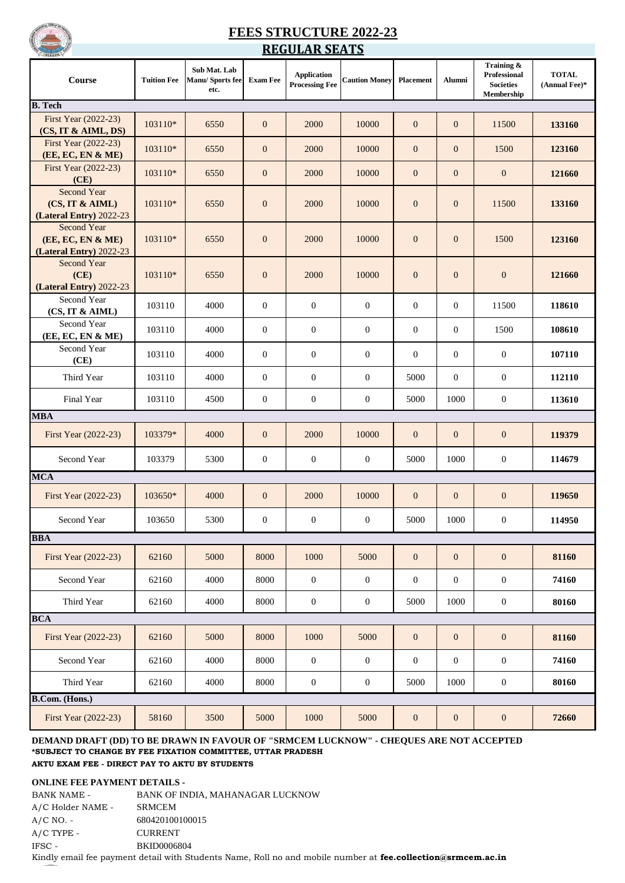

## **FEES STRUCTURE 2022-23 REGULAR SEATS**

| <b>Course</b>                                               | <b>Tuition Fee</b> | Sub Mat. Lab<br>Manu/ Sports fee<br>etc. | <b>Exam Fee</b>  | <b>Application</b><br><b>Processing Fee</b> | <b>Caution Money</b> | Placement        | Alumni           | Training &<br>Professional<br><b>Societies</b><br>Membership | <b>TOTAL</b><br>(Annual Fee)* |
|-------------------------------------------------------------|--------------------|------------------------------------------|------------------|---------------------------------------------|----------------------|------------------|------------------|--------------------------------------------------------------|-------------------------------|
| <b>B.</b> Tech                                              |                    |                                          |                  |                                             |                      |                  |                  |                                                              |                               |
| First Year (2022-23)<br>(CS, IT & AIML, DS)                 | 103110*            | 6550                                     | $\mathbf{0}$     | 2000                                        | 10000                | $\mathbf{0}$     | $\mathbf{0}$     | 11500                                                        | 133160                        |
| First Year (2022-23)<br>(EE, EC, EN & ME)                   | 103110*            | 6550                                     | $\mathbf{0}$     | 2000                                        | 10000                | $\mathbf{0}$     | $\mathbf{0}$     | 1500                                                         | 123160                        |
| First Year (2022-23)<br>(CE)                                | 103110*            | 6550                                     | $\boldsymbol{0}$ | 2000                                        | 10000                | $\mathbf{0}$     | $\mathbf{0}$     | $\mathbf{0}$                                                 | 121660                        |
| Second Year<br>(CS, IT & AIML)<br>(Lateral Entry) 2022-23   | 103110*            | 6550                                     | $\mathbf{0}$     | 2000                                        | 10000                | $\mathbf{0}$     | $\mathbf{0}$     | 11500                                                        | 133160                        |
| Second Year<br>(EE, EC, EN & ME)<br>(Lateral Entry) 2022-23 | 103110*            | 6550                                     | $\boldsymbol{0}$ | 2000                                        | 10000                | $\mathbf{0}$     | $\mathbf{0}$     | 1500                                                         | 123160                        |
| <b>Second Year</b><br>(CE)<br>(Lateral Entry) 2022-23       | 103110*            | 6550                                     | $\boldsymbol{0}$ | 2000                                        | 10000                | $\mathbf{0}$     | $\mathbf{0}$     | $\mathbf{0}$                                                 | 121660                        |
| Second Year<br>(CS, IT & AIML)                              | 103110             | 4000                                     | $\mathbf{0}$     | $\mathbf{0}$                                | $\boldsymbol{0}$     | $\overline{0}$   | $\boldsymbol{0}$ | 11500                                                        | 118610                        |
| Second Year<br>(EE, EC, EN & ME)                            | 103110             | 4000                                     | $\overline{0}$   | $\mathbf{0}$                                | $\boldsymbol{0}$     | $\theta$         | $\overline{0}$   | 1500                                                         | 108610                        |
| Second Year<br>(CE)                                         | 103110             | 4000                                     | $\overline{0}$   | $\mathbf{0}$                                | $\boldsymbol{0}$     | $\theta$         | $\boldsymbol{0}$ | $\mathbf{0}$                                                 | 107110                        |
| Third Year                                                  | 103110             | 4000                                     | $\overline{0}$   | $\overline{0}$                              | $\boldsymbol{0}$     | 5000             | $\boldsymbol{0}$ | $\mathbf{0}$                                                 | 112110                        |
| Final Year                                                  | 103110             | 4500                                     | $\mathbf{0}$     | $\mathbf{0}$                                | $\mathbf{0}$         | 5000             | 1000             | $\boldsymbol{0}$                                             | 113610                        |
| <b>MBA</b>                                                  |                    |                                          |                  |                                             |                      |                  |                  |                                                              |                               |
| First Year (2022-23)                                        | 103379*            | 4000                                     | $\boldsymbol{0}$ | 2000                                        | 10000                | $\mathbf{0}$     | $\mathbf{0}$     | $\mathbf{0}$                                                 | 119379                        |
| Second Year<br><b>MCA</b>                                   | 103379             | 5300                                     | $\boldsymbol{0}$ | $\mathbf{0}$                                | $\boldsymbol{0}$     | 5000             | 1000             | $\boldsymbol{0}$                                             | 114679                        |
| First Year (2022-23)                                        | 103650*            | 4000                                     | $\mathbf{0}$     | 2000                                        | 10000                | $\mathbf{0}$     | $\mathbf{0}$     | $\mathbf{0}$                                                 | 119650                        |
| Second Year                                                 | 103650             | 5300                                     | $\overline{0}$   | $\boldsymbol{0}$                            | $\mathbf{0}$         | 5000             | 1000             | $\mathbf{0}$                                                 | 114950                        |
| <b>BBA</b>                                                  |                    |                                          |                  |                                             |                      |                  |                  |                                                              |                               |
| First Year (2022-23)                                        | 62160              | 5000                                     | 8000             | 1000                                        | 5000                 | $\boldsymbol{0}$ | $\boldsymbol{0}$ | $\boldsymbol{0}$                                             | 81160                         |
| Second Year                                                 | 62160              | 4000                                     | 8000             | $\boldsymbol{0}$                            | $\mathbf{0}$         | $\mathbf{0}$     | $\boldsymbol{0}$ | $\boldsymbol{0}$                                             | 74160                         |
| Third Year                                                  | 62160              | 4000                                     | 8000             | $\boldsymbol{0}$                            | $\boldsymbol{0}$     | 5000             | 1000             | $\boldsymbol{0}$                                             | 80160                         |
| <b>BCA</b>                                                  |                    |                                          |                  |                                             |                      |                  |                  |                                                              |                               |
| First Year (2022-23)                                        | 62160              | 5000                                     | 8000             | 1000                                        | 5000                 | $\mathbf{0}$     | $\mathbf{0}$     | $\mathbf{0}$                                                 | 81160                         |
| Second Year                                                 | 62160              | 4000                                     | 8000             | $\mathbf{0}$                                | $\boldsymbol{0}$     | $\mathbf{0}$     | $\boldsymbol{0}$ | $\boldsymbol{0}$                                             | 74160                         |
| Third Year                                                  | 62160              | 4000                                     | 8000             | $\boldsymbol{0}$                            | $\boldsymbol{0}$     | 5000             | 1000             | $\boldsymbol{0}$                                             | 80160                         |
| <b>B.Com.</b> (Hons.)                                       |                    |                                          |                  |                                             |                      |                  |                  |                                                              |                               |
| First Year (2022-23)                                        | 58160              | 3500                                     | 5000             | 1000                                        | 5000                 | $\mathbf{0}$     | $\boldsymbol{0}$ | $\mathbf{0}$                                                 | 72660                         |

### **DEMAND DRAFT (DD) TO BE DRAWN IN FAVOUR OF "SRMCEM LUCKNOW" - CHEQUES ARE NOT ACCEPTED \*SUBJECT TO CHANGE BY FEE FIXATION COMMITTEE, UTTAR PRADESH AKTU EXAM FEE - DIRECT PAY TO AKTU BY STUDENTS**

#### **ONLINE FEE PAYMENT DETAILS -**

| BANK NAME -       | BANK OF INDIA, MAHANAGAR LUCKNOW                                                                             |
|-------------------|--------------------------------------------------------------------------------------------------------------|
| A/C Holder NAME - | SRMCEM                                                                                                       |
| $A/C NO. -$       | 680420100100015                                                                                              |
| $A/C$ TYPE -      | <b>CURRENT</b>                                                                                               |
| IFSC -            | <b>BKID0006804</b>                                                                                           |
| $   -$            | Kindly email fee payment detail with Students Name, Roll no and mobile number at fee.collection@srmcem.ac.in |